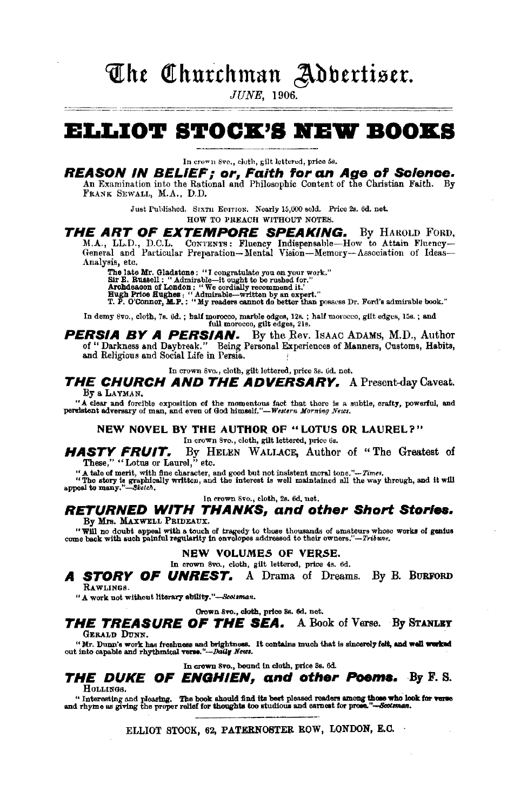# The Churchman Adbertiser.

**JUNE**, 1906.

# **ELLIOT STOCK'S NEW BOOKS**

In crown 8ve., cloth, gilt lettered, price 5s.

**REASON IN BELIEF; or, Faith for an Age of Science.**<br>An Examination into the Rational and Philosophic Content of the Christian Faith. By

FRANK SEWALL, M.A., D.D.

Just Published. SIXTH EDITION. Nearly 15,000 sold. Price 2s. 6d. net. HOW TO PREACH WITHOUT NOTES.

## THE ART OF EXTEMPORE SPEAKING. By HAROLD FORD,

M.A., LL.D., D.C.L. CONTENTS: Fluency Indispensable-How to Attain Fluency-General and Particular Preparation-Mental Vision-Memory-Association of Ideas-Analysis, etc.

Fig. ob.<br>
The late Mr. Gladstone: "I congratulate you on your work."<br>
Sir E. Russell: "Admirable--it ought to be rushed for."<br>
Archdesson of London: "We cordially recommend it."<br>
Hugh Prioe Eughes: "Admirable-written by a

In demy 8vo., cloth, 7s. 6d.; half morocco, marble edges, 12s.; half morocco, gilt edges, 15s.; and full morocco, gilt edges, 21s.

**PERSIA BY A PERSIAN.** By the Rev. ISAAC ADAMS, M.D., Author of "Darkness and Daybreak." Being Personal Experiences of Manners, Customs, Habits, and Religious and Social Life in Persia.

In crown Svo., cloth, gilt lettered, price 8s. 0d. net,

THE CHURCH AND THE ADVERSARY. A Present-day Caveat. By a LAYMAN.

" a clear and forcible exposition of the momentous fact that there is a subtle, crafty, powerful, and perulatent adversary of man, and even of God himself."-Western Morning Neus.

NEW NOVEL BY THE AUTHOR OF "LOTUS OR LAUREL?"

In crown 8vo., cloth, gilt lettered, price 6s.

**HASTY FRUIT.** By H These," "Lotus or Laurel," etc. By HELEN WALLACE, Author of "The Greatest of

"A tale of merit, with fine character, and good but not insistent moral tone." $\sim Time$ .<br>"The story is graphically written, and the interest is well maintained all the way through, and it will appeal to many."—Stetch.

In crown 8vo., cloth, 2s. 6d, net.

#### **RETURNED WITH THANKS, and other Short Stories.** By Mrs. MAXWELL PRIDEAUX.

"Will no doubt appeal with a touch of tragedy to those thousands of amateurs whose works of genius come back with such painful regularity in envelopes addressed to their owners."-Tribune.

#### NEW VOLUMES OF VERSE.

In crown 8vo., cloth, gilt lettered, price 4s. 6d.

A STORY OF UNREST. A Drama of Dreams. By B. BURFORD RAWLINGS.

" A work not without literary ability."-Scotsman.

Crown 8vo., cloth, price 3s. 6d. net.

#### THE TREASURE OF THE SEA. A Book of Verse. By STANLEY GERALD DUNN.

"Mr. Dunn's work has freshness and brightness. It contains much that is sincerely felt, and well worked out into capable and rhythmical verse."--Daily News.

In crown 8vo., bound in cloth, price 3s. 6d.

THE DUKE OF ENGHIEN, and other Poems. By F.S. HOLLINGS.

" Interesting and pleasing. The book should find its best pleased readers among those who look for verse and rhyme as giving the proper relief for thoughts too studious and carnest for prose."--Sextman.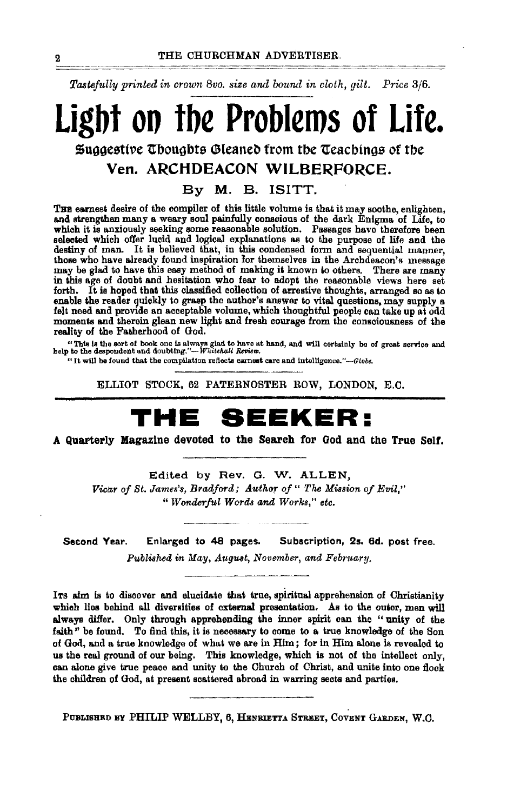*Tastej1tlly printed in crown 8vo. size ana bound in cloth, gilt. Price 3j6.* 

# **Ligbt oo tbe Problems of Life.**  $\mathfrak s$ uggestive Thoughts Gleaned from the Teachings of the **Ven. ARCHDEACON WILBERFORCE.**

By M. B. ISITT.

THE earnest desire of the compiler of this little volume is that it may soothe, enlighten, and strengthen many a weary soul painfully conscious of the dark Enigma of Life, to which it is anxiously seeking some reasonable solution. Passages have therefore been selected which offer lucid and logical explanations as to the purpose of life and the destiny of man. It is believed that, in this condensed form and sequential manner, those who have already found inspiration lor themselves in the Archdeacon's message may be glad to have this easy method of making it known to others. There are many in this age of doubt and hesitation who fear to adopt the reasonable views here set forth. It is hoped that this classified collection of arrestive thoughts, arranged so as to enable the reader quickly to grasp the author's answer to vital questions, may supply a felt need and provide an acceptable volume, which thoughtful people can take up at odd moments and therein glean new light and fresh courage from the consciousness of the reality of the Fatherhood of God.

"This is the sort of book one is always glad to have at hand, and will certainly be of great service and help to the despondent and doubting."---*Wl•itehall Review*.

"It will be found that the compilation reflects earnest care and intelligence."-Globe.

ELLIOT STOCK, 62 PATERNOSTER ROW, LONDON, E.C.

# **THE SEEKER:**

A Quarterly Magazine devoted to the Search for God and the True Self.

Edited by Rev. G. W. ALLEN, *Vicar of St. James'8, Bradford; Author of" The Mission of Evil," "Wonderful Word-a* and *Works," etc.* 

Second Year. Enlarged to 48 pages. Subscription, 2s. 6d. post free. *Published in May, August, November, and February.* 

ITs aim is to discover and elucidate that true, spiritual apprehension of Christianity which lies behind all diversities of external presentation. As to the outer, men will always differ. Only through apprehending the inner spirit can the "unity of the faith" be found. To find this, it is necessary to come to a true knowledge of the Son of God, and a true knowledge of what we are in Him; for in Him alone is revealed to us the real ground of our being. This knowledge, which is not of the intellect only, can alone give true peace and unity to the Church of Christ, and unite into one flock the children of God, at present scattered abroad in warring sects and parties.

PUBLISHED BY PHILIP WELLBY, 6, HENRIETTA STREET, COVENT GARDEN, W.C.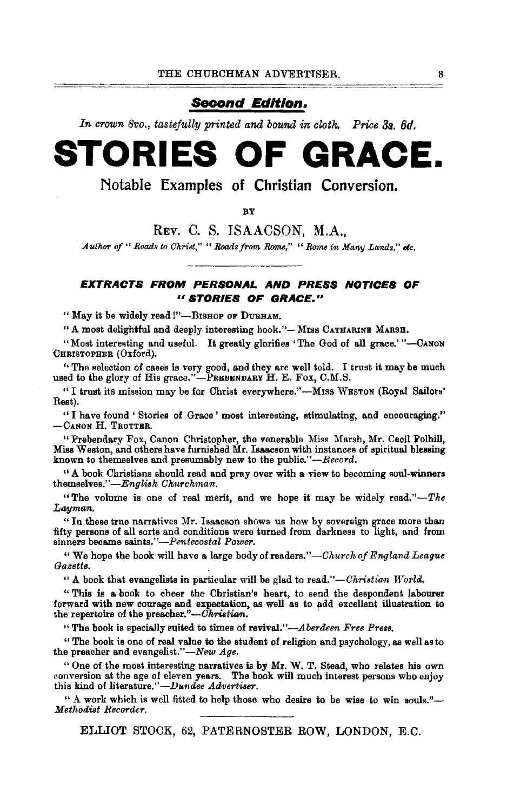## *Second Edition.*

In crown 8vo., tastefully printed and bound in cloth. Price 3s, 6d.

# **STORIES OF GRACE.**

**Notable Examples of Christian Conversion.** 

**B**V

REv. C. S. ISAACSON, M.A.,

*Author of " Roads to Christ," " Roads from Rome," " Rome in Many Lands," etc.* 

#### **EXTRACTS FROM PERSONAL AND PRESS NOTICES OF** <sup>11</sup>**STORIES OF GRACE."**

" May it be widely read !"-BISHOP OF DURHAM.

"A most delightful and deeply interesting book."- MISS CATHARINE MARSH.

"Most interesting and useful. It greatly glorifies 'The God of all grace.'"-CANON CHRISTOPHER (Oxford).

" The selection of cases is very good, and they are well told. I trust it may be much used to the glory of His grace."-PREBBNDARY H. E. Fox, C.M.S.

"I trust its mission may be for Christ everywhere."-Mrss WESTON (Royal Sailors' Rest).

"I have found' Stories of Grace' most interesting, stimulating, and encouraging.'' -CANON H. TROTTER.

"Prebendary Fox, Canon Christopher, the venerable Miss Marsh, Mr. Cecil Polhill, Miss Weston, and others have furnished Mr. Isaacson with instances of spiritual blessing known to themselves and presumably new to the public." $-$ Record.

"A book Christians should read and pray over with a view to becoming soul-winners themselves." *-English* Ch1~rchman.

"The volume is one of real merit, and we hope it may be widely *read."-The*  Layman,

"In these true narratives Mr. Isaacson shows us how by sovereign grace more than fifty persons of all sorts and conditions were turned from darkness to light, and from sinners beoame *saints.''-Pentecostal Power.* 

" We hope the book will have a large body of readers."-Church of England League *Gazette.* 

"A book that evangelists in particular will be glad to read."-Christian World.

" This is a book to cheer the Christian's heart, to send the despondent labourer forward with new courage and expectation, as well as to add excellent illustration to the repertoire of the preacher."- $\bar{Ch}$ ristian.

"The book is specially suited to times of revival.'' *-Aberdeen Free Preaa.* 

"The book is one of real value to the student of religion and psychology, as well as to the preacher and evangelist."-New Age.

"One of the most interesting narratives is by Mr. W. T. Stead, who relates his own conversion at the age of eleven years. The book will much interest persons who enjoy this kind of literature."-Dundee *Advertiser.* 

" A work which is well fitted to help those who desire to be wise to win souls."- $Methodist$  Recorder.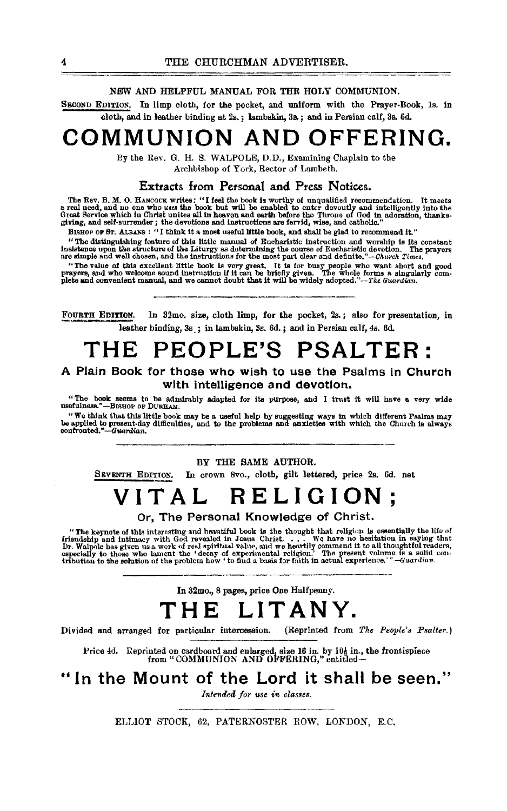#### NEW AND HELPFUL MANUAL FOR THE HOLY COMMUNION.

SECOND EDITlON. In limp cloth, for the pocket, and uniform with the Prayer-Book, Is. in cloth, and in leather binding at 2s. ; lambskin, 3s. ; and in Persian calf, 3s. 6d.

# **COMMUNION AND OFFERING.**

By the Rev. 0. H. 8. WALPOLE, D. D., Examining Chaplain to the Archbishop of York, Rector of Lambeth.

#### Extracts from Personal and Press Notices.

The Rev. B. M. O. HANCOCK writes: "I feel the book is worthy of unqualified recommendation. It meets<br>a real need, and no one who uses the book but will be enabled to enter devoutly and intelligently into the<br>Great Service

BISHOP OF ST. ALBANS : "I think it a most useful little book, and shall be glad to recommend it."<br>"The distinguishing feature of this little manual of Eucharistic instruction and worship is its constant The processes and the structure of the Liturgy as determining the course of Eucharistic devotion. The prayers instance upon the structure of the Liturgy as determining the course of Eucharistic devotion. The prayers are si

"The value of this excellent little book is very great. It is for busy people who want short and good prayers, and who welcome sound instruction if it can be briefly given. The whole forms a singularly complete and conveni

FOURTH EDITION. In 32mo. size, cloth limp, for the pocket, 2s.; also for presentation, in leather binding, 3s. ; in lambskin, 3s. 6d. ; and in Persian calf, 4s. 6d.

# **THE PEOPLE'S PSALTER:**

#### A Plain Book for those who wish to use the Psalms In Church with intelligence and devotion.

"The book seems to be admirably adapted for lis purpose, and I trust it will have a very wide Usefulness."-BISHOP OF DURHAM.

"We think that this little book may be a useful help by suggesting ways in which different Psalms may<br>be applied to present-day difficulties, and to the problems and anxieties with which the Church is always<br>confronted."--

BY THE SAME AUTHOR.

SEVENTH EDITION. In crown Svo., cloth, gilt lettered, price 2s. 6d. net

# **VITAL RELIGION;**

Or, The Personal Knowledge of Christ.

"The keynote of this interesting and beautiful book is the thought that religion is essentially the life of friendship and intimacy with God revealed in Josus Christ. . . . We have no hesitation in saying that Dr. Walpole

In 32mo., 8 pages, price One Halfpenny.

# **THE LITANY.**

Divided and arranged for particular intercession. (Reprinted from *The People's Psalter.*)

Price 4d. Reprinted on cardboard and enlarged, size 16 in. by 10 $\frac{1}{2}$  in., the frontispiece from "COMMUNION AND OFFERING," entitled-

In the Mount of the Lord it shall be seen."

*Intended for use in classes.*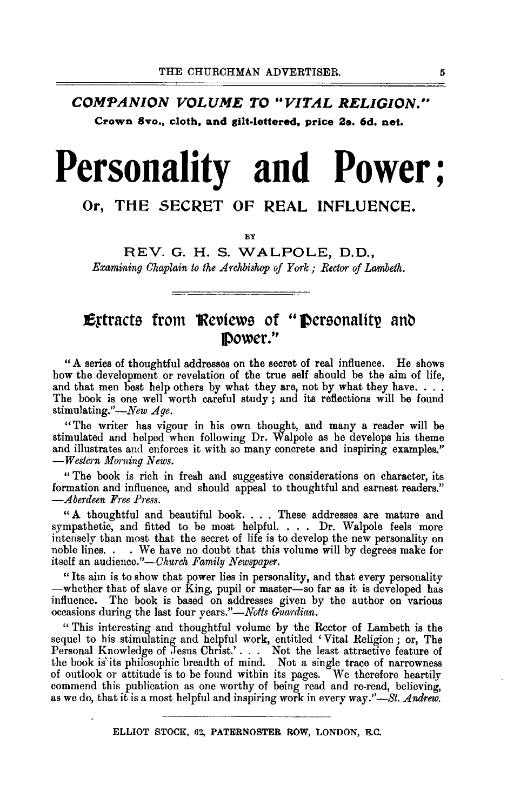COMPANION VOLUME TO "VITAL RELIGION." **Crown 8vo., cloth, and gilt-lettered, price 2s. 6d, net,** 

# **Personality and Power;**

## **Or, THE SECRET OF REAL INFLUENCE.**

**BY** 

REV. G. H. S. WALPOLE, D.D., *Examining Chaplain to the Archbishop of York; Rector of Lambeth.* 

## **Extracts from Reviews of "Personality and JPower."**

"A series of thoughtful addresses on the secret of real influence. He shows how the development or revelation of the true self should be the aim of life, and that men best help others by what they are, not by what they have. . . . The book is one well worth careful study ; and its reflections will be found stimulating."—New Age.

"The writer has vigour in his own thought, and many a reader will be stimulated and helped when following Dr. Walpole as he develops his theme and illustrates and enforces it with so many concrete and inspiring examples."  $-$ *Western Morning News.* 

" The book is rich in fresh and suggestive considerations on character, its formation and influence, and should appeal to thoughtful and earnest readers."  $-A$ berdeen Free Press.

"A thoughtful and beautiful book. . . . These addresses are mature and sympathetic, and fitted to be most helpful. . . . Dr. Walpole feels more intensely than most that the secret of life is to develop the new personality on noble lines. . . We have no doubt that this volume will by degrees make for itself an audience."-Church Family Newspaper.

"Its aim is to show that power lies in personality, and that every personality -whether that of slave or King, pupil or master-so far as it is developed has influence. The book is based on addresses given by the author on various occasions during the last four years."-Notts Guardian.

"This interesting and thoughtful volume by the Rector of Lambeth is the sequel to his stimulating and helpful work, entitled 'Vital Religion ; or, The Personal Knowledge of Jesus Christ.'...., Not the least attractive feature of the book is'its philosophic breadth of mind. Not a single trace of narrowness of outlook or attitude is to be found within its pages. We therefore heartily commend this publication as one worthy of being read and re-read, believing, as we do, that it is a most helpful and inspiring work in every *way."-St. Andrew.*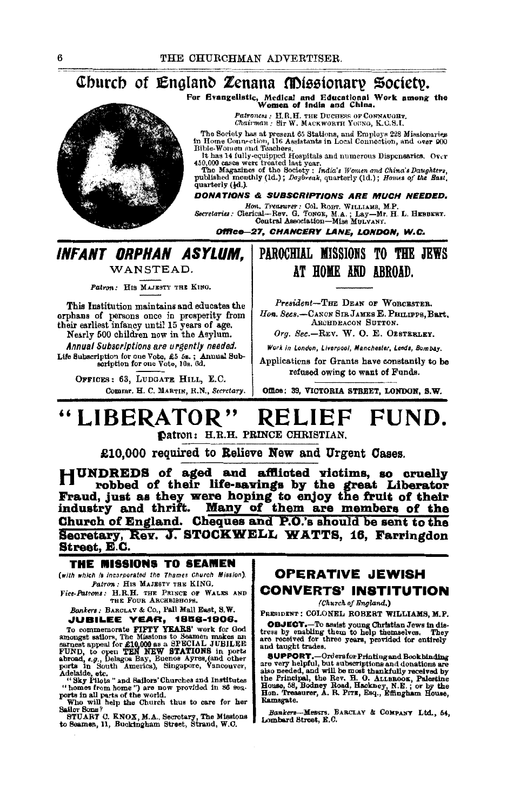## For Evangelistic, Medical and Educational Work among the Women of india and China.

Patroness : H, R, H. THE DUCHESS OF CONNAUGHT.<br>Chairman : Sir W. MACKWORTH YOUNG, K, C.S.I.

The Society has at present 65 Stations, and Employs 228 Missionaries<br>in Home Connection, 116 Assistants in Local Connection, and over 900<br>Bible-Women and Teachers.<br>The Mayne of the Markovice in the same of the Mayne of the

quarterly (4d.).

#### **DONATIONS & SUBSCRIPTIONS ARE MUCH NEEDED.**

Hon, Treasurer: Col, ROBT, WILLIAMS, M.P.<br>Secretaries: Clerical—Rev. G. TONGE, M.A.; Lay—Mr. H. L. HEBBERT.<br>Central Association—Miss MULVANY.

Office-27, CHANCERY LANE, LONDON, W.C.

## INFANT ORPHAN ASYLUM.

WANSTEAD.

Patron: HIS MAJESTY THE KING.

This Institution maintains and educates the orphans of persons once in prosperity from<br>their earliest infancy until 15 years of age. Nearly 500 children now in the Asylum.

Annual Subscriptions are urgently needed. Life Subscription for one Vote, £5 5s.; Annual Sub-<br>scription for one Vote, 10s. 6d.

OFFICES: 63. LUDGATE HILL, E.C. Commr. H. C. MARTIN, R.N., Secretary.

## PAROCHIAL MISSIONS TO THE JEWS AT HOME AND ABROAD.

President-THE DEAN OF WORCESTER. Hon. Secs.-CANON SIR JAMES E. PHILIPPS, Bart. ARCHDEACON SUTTON.

Org. Sec.-REV. W. O. E. ORSTRELEY.

Work in London, Liverpool, Manchester, Leeds, Bombay.

Applications for Grants have constantly to be refused owing to want of Funds.

Office: 39, VICTORIA STREET, LONDON, S.W.

#### "LIBERATOR RELIEF FUND. Datron: H.R.H. PRINCE CHRISTIAN.

£10.000 required to Relieve New and Urgent Cases.

HUNDREDS of aged and afflicted victims, so cruelly The robbed of their life-savings by the great Liberator<br>Fraud, just as they were hoping to enjoy the fruit of their<br>industry and thrift. Many of them are members of the Church of England. Cheques and P.O.'s should be sent to the Secretary, Rev. J. STOCKWELL WATTS, 16, Farringdon Street, E.C.

#### THE MISSIONS TO SEAMEN

(with which is incorporated the Thames Church Mission). Patron: HIS MAJESTY THE KING.

Vice-Patrons: H.R.H. THE PRINCE OF WALES AND THE FOUR ARCHBISHOPS

#### Bankers: BARCLAY & Co., Pall Mall East, S.W. **JUBILEE YEAR, 1856-1906.**

UUBILEE TEAT, 1896-1996.<br>To commemorate PIPTY YEARS' work for God<br>amongst sallors, The Missions to Seamen makes an<br>earnest appeal for £10,000 as a SPECIAL JUBILEE<br>FUND, to open TEM NEW STATIONS in ports<br>abroad, e.g., Delag

ports in South America), Singapore, vancouver,<br>Adelaide, etc.<br>
"Sky Pilots" and Sailors' Churches and Institutes<br>
"homes from home") are now provided in 36 sea-<br>
ports in all parts of the world.<br>
Who will help the Church t

Sailor Sons?

STUART C. KNOX, M.A., Secretary, The Missions to Seamen, 11, Buckingham Street, Strand, W.C.

### **OPERATIVE JEWISH CONVERTS' INSTITUTION**

(Church of England.)

PRESIDENT : COLONEL ROBERT WILLIAMS, M.P.

**OBJECT.**-To assist young Christian Jews in distress by enabling them to help themselves. They are received for three years, provided for entirely and taught trades.

and aughter transis.<br>
SUPPORT.-Ordersfor Frinting and Bookhinding<br>
are very helpful, but subscriptions and donations are<br>
also needed, and will be most thankfully received by<br>
the Frincipal, the Rev. H.O. ALLEROOK, Palesti Ramsgate.

-Messrs, BARCLAY & COMPANY Ltd., 54, **Bankers** Lombard Street, R.C.

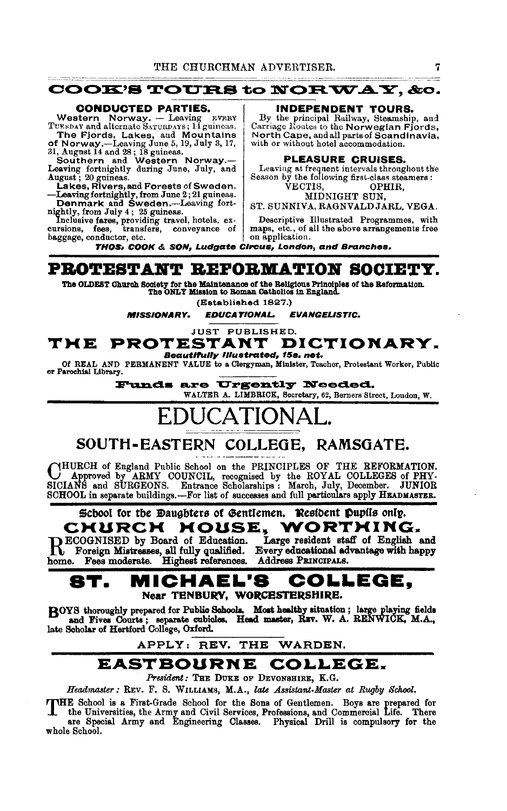

TUESDAY and alternate SATURDAYS; 14 guineas.

The Fjords, Lakes, and Mountains<br>
of Norway.—Leaving June 5, 19, July 3, 17,<br>
31, August 14 and 28; 18 guineas.<br>
Southern and Western Norway.—<br>
Leaving fortnightly during June, July, and<br>
August; 20 guineas.

Lakes, Rivers, and Forests of Sweden. VECTIS, OPHIR,<br>
-Leaving fortnightly, from June 2; 21 guineas. MIDNIGHT SUN,<br>
Denmark and Sweden.--Leaving fort-<br>
nightly, from July 4; 25 guineas.<br>
Denmark and Sweden.

baggage, conductor, etc.

By the principal Railway, Steamship, and Carriage Hontes to the Norwegian Fjords, North Cape, and all parts of Scandinavia, with or without hotel accommodation.

#### PLEASURE CRUISES.

Leaving at frequent intervals throughout the Season by the following first-class steamers :

VECTIS, OPHIR,<br>MIDNIGHT SUN.

Inclusive fares, providing travel, hotels, ex- Descriptive Illustrated Programmes, with cursions, fees, transfers, conveyance of maps, etc., of all the above arrangements free maps, etc., of all the above arrangements free<br>on application.

THOS• COOK & SON, Ludgate Circus, London, and Branches.

## PBOTBSTANT BBFOBMATION SOCIETY.

The OLDEST Church Society for the Maintenance of the Religious Principles of the Reformation. The ONLY Mission to Roman Catholics in England.

(Established 1827.)

MISSIONARY. EDUCATIONAL. EVANGELISTIC.

#### JUST PUBLISHED. THE PROTESTANT DICTIONARY. Beautlrully Illustrated, 15s. net.

Of REAL AND PERMANENT VALUE to a Clergyman, Minister, Teacher, Protestant Worker, Public or Parochial Library.

Funds are Urgently Needed. WALTER A. LIMBRICK, Secretary, 62, Berners Street, London, W.

# UCATIONA

## SOUTH-EASTERN COLLEGE, RAMSGATE.

CHURCH of England Public School on the PRINCIPLES OF THE REFORMATION.<br>SICIANS and SURGEONS. Entrance Scholarships : March, July, December. JUNIOR<br>SCHOOL in separate buildings.—For list of successes and full particulars app

# Scbool for the Daughters of Gentlemen. Resident Pupils only. CHURCH HOUSE, WORTHING.<br>DECOGNISED by Board of Education. Large resident staff of English and

home. Fees moderate. Highest references. Address PRINCIPALS.

RECOGNISED by Board of Education. Large resident staff of English and Foreign Mistresses, all fully qualified. Every educational advantage with happy

## ST. MICHAEL•& COLLEGE, Near TENBURY, WORCESTERSHIRE.

BOYS thoroughly prepared for Public Schools. Most healthy situation ; large playing fields and Fives Courts ; separate cubicles. Head master, RFV. W. A. RENWICK, M.A., late Scholar of Hertford College, Oxford. is; separate cubicles. Head master, REV. W. A.<br>rd College, Oxford.<br>APPLY: REV. THE WARDEN.

## EASTBOURNE COLLEGE.

*President:* THE DUKE OF DEVONSHIRE, K.G.

*Headmaster:* REv. F. S. WILLIAMs, M.A., *late Assistant-Master at Rugby Sckool.* 

THE School is a First-Grade School for the Sons of Gentlemen. Boys are prepared for the Universities, the Army and Civil Services, Professions, and Commercial Life. There are Special Army and Engineering Classes. Physical

are Special Army and Engineering Classes. Physical Drill is compulsory for the whole School.